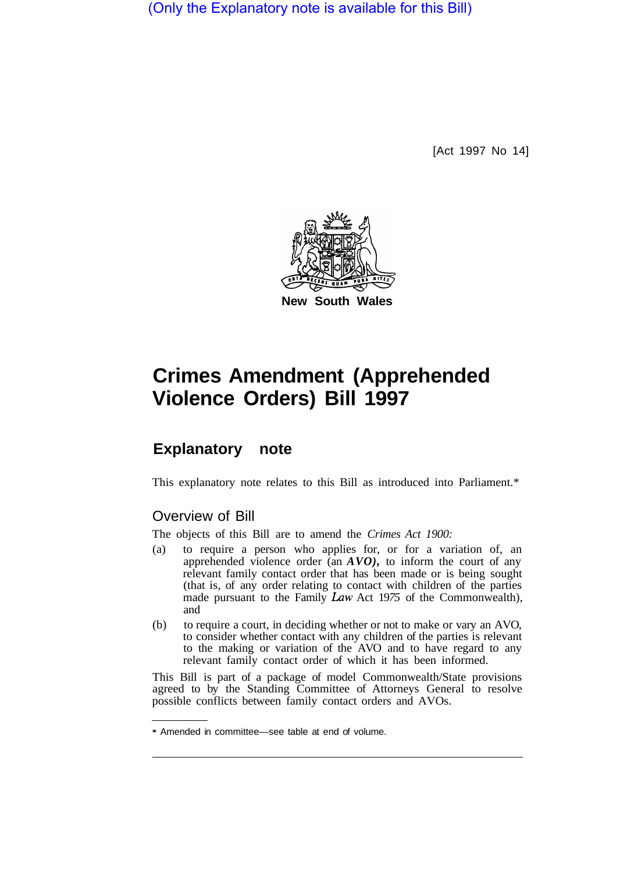(Only the Explanatory note is available for this Bill)

[Act 1997 No 14]



# **Crimes Amendment (Apprehended Violence Orders) Bill 1997**

## **Explanatory note**

This explanatory note relates to this Bill as introduced into Parliament.\*

#### Overview of Bill

The objects of this Bill are to amend the *Crimes Act 1900:* 

- (a) to require a person who applies for, or for a variation of, an apprehended violence order (an *AVO),* to inform the court of any relevant family contact order that has been made or is being sought (that is, of any order relating to contact with children of the parties made pursuant to the Family *Law* Act 19*75* of the Commonwealth), and
- (b) to require a court, in deciding whether or not to make or vary an AVO, to consider whether contact with any children of the parties is relevant to the making or variation of the AVO and to have regard to any relevant family contact order of which it has been informed.

This Bill is part of a package of model Commonwealth/State provisions agreed to by the Standing Committee of Attorneys General to resolve possible conflicts between family contact orders and AVOs.

<sup>\*</sup> Amended in committee—see table at end of volume.